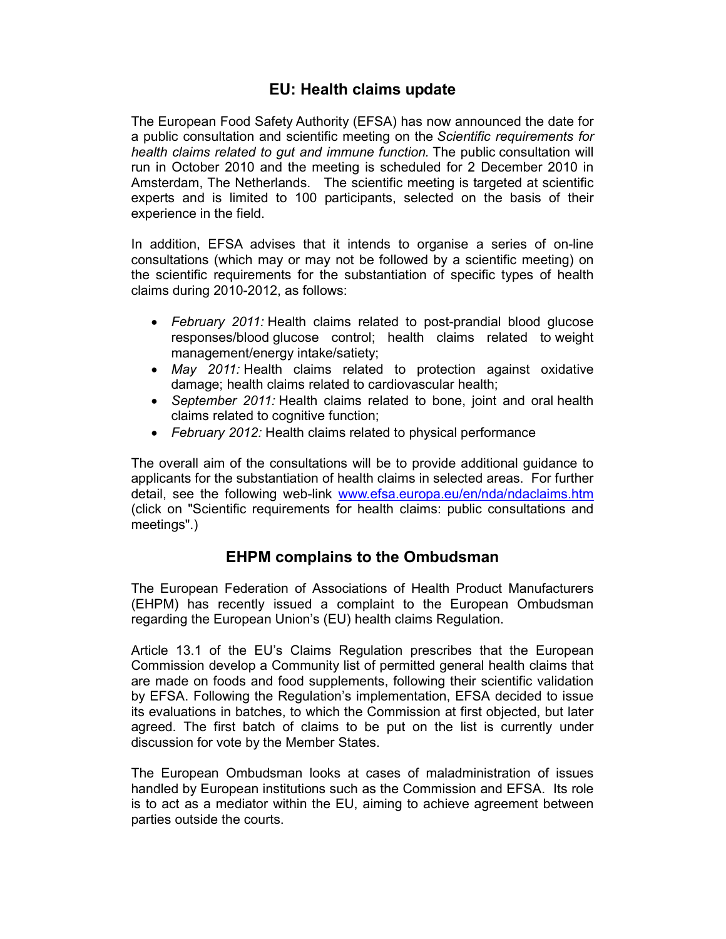## **EU: Health claims update**

The European Food Safety Authority (EFSA) has now announced the date for a public consultation and scientific meeting on the *Scientific requirements for health claims related to gut and immune function.* The public consultation will run in October 2010 and the meeting is scheduled for 2 December 2010 in Amsterdam, The Netherlands. The scientific meeting is targeted at scientific experts and is limited to 100 participants, selected on the basis of their experience in the field.

In addition, EFSA advises that it intends to organise a series of on-line consultations (which may or may not be followed by a scientific meeting) on the scientific requirements for the substantiation of specific types of health claims during 2010-2012, as follows:

- *February 2011:* Health claims related to post-prandial blood glucose responses/blood glucose control; health claims related to weight management/energy intake/satiety;
- *May 2011:* Health claims related to protection against oxidative damage; health claims related to cardiovascular health;
- *September 2011:* Health claims related to bone, joint and oral health claims related to cognitive function;
- *February 2012:* Health claims related to physical performance

The overall aim of the consultations will be to provide additional guidance to applicants for the substantiation of health claims in selected areas. For further detail, see the following web-link www.efsa.europa.eu/en/nda/ndaclaims.htm (click on "Scientific requirements for health claims: public consultations and meetings".)

## **EHPM complains to the Ombudsman**

The European Federation of Associations of Health Product Manufacturers (EHPM) has recently issued a complaint to the European Ombudsman regarding the European Union's (EU) health claims Regulation.

Article 13.1 of the EU's Claims Regulation prescribes that the European Commission develop a Community list of permitted general health claims that are made on foods and food supplements, following their scientific validation by EFSA. Following the Regulation's implementation, EFSA decided to issue its evaluations in batches, to which the Commission at first objected, but later agreed. The first batch of claims to be put on the list is currently under discussion for vote by the Member States.

The European Ombudsman looks at cases of maladministration of issues handled by European institutions such as the Commission and EFSA. Its role is to act as a mediator within the EU, aiming to achieve agreement between parties outside the courts.